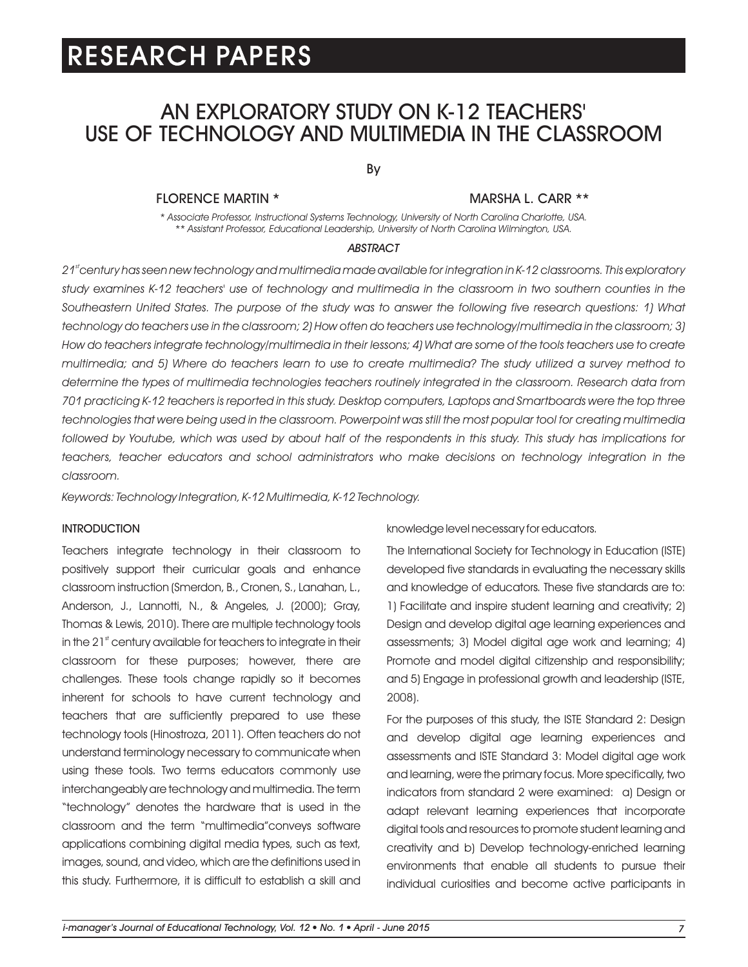# AN EXPLORATORY STUDY ON K-12 TEACHERS' USE OF TECHNOLOGY AND MULTIMEDIA IN THE CLASSROOM

By

### FLORENCE MARTIN \*

### MARSHA L. CARR \*\*

*\* Associate Professor, Instructional Systems Technology, University of North Carolina Charlotte, USA. \*\* Assistant Professor, Educational Leadership, University of North Carolina Wilmington, USA.*

#### *ABSTRACT*

*st 21 century has seen new technology and multimedia made available for integration in K-12 classrooms. This exploratory*  study examines K-12 teachers' use of technology and multimedia in the classroom in two southern counties in the *Southeastern United States. The purpose of the study was to answer the following five research questions: 1) What*  technology do teachers use in the classroom; 2) How often do teachers use technology/multimedia in the classroom; 3) *How do teachers integrate technology/multimedia in their lessons; 4) What are some of the tools teachers use to create multimedia; and 5) Where do teachers learn to use to create multimedia? The study utilized a survey method to determine the types of multimedia technologies teachers routinely integrated in the classroom. Research data from 701 practicing K-12 teachers is reported in this study. Desktop computers, Laptops and Smartboards were the top three technologies that were being used in the classroom. Powerpoint was still the most popular tool for creating multimedia*  followed by Youtube, which was used by about half of the respondents in this study. This study has implications for teachers, teacher educators and school administrators who make decisions on technology integration in the *classroom.* 

*Keywords: Technology Integration, K-12 Multimedia, K-12 Technology.*

### **INTRODUCTION**

Teachers integrate technology in their classroom to positively support their curricular goals and enhance classroom instruction (Smerdon, B., Cronen, S., Lanahan, L., Anderson, J., Lannotti, N., & Angeles, J. (2000); Gray, Thomas & Lewis, 2010). There are multiple technology tools in the  $21<sup>st</sup>$  century available for teachers to integrate in their classroom for these purposes; however, there are challenges. These tools change rapidly so it becomes inherent for schools to have current technology and teachers that are sufficiently prepared to use these technology tools (Hinostroza, 2011). Often teachers do not understand terminology necessary to communicate when using these tools. Two terms educators commonly use interchangeably are technology and multimedia. The term "technology" denotes the hardware that is used in the classroom and the term "multimedia"conveys software applications combining digital media types, such as text, images, sound, and video, which are the definitions used in this study. Furthermore, it is difficult to establish a skill and

knowledge level necessary for educators.

The International Society for Technology in Education (ISTE) developed five standards in evaluating the necessary skills and knowledge of educators. These five standards are to: 1) Facilitate and inspire student learning and creativity; 2) Design and develop digital age learning experiences and assessments; 3) Model digital age work and learning; 4) Promote and model digital citizenship and responsibility; and 5) Engage in professional growth and leadership (ISTE, 2008).

For the purposes of this study, the ISTE Standard 2: Design and develop digital age learning experiences and assessments and ISTE Standard 3: Model digital age work and learning, were the primary focus. More specifically, two indicators from standard 2 were examined: a) Design or adapt relevant learning experiences that incorporate digital tools and resources to promote student learning and creativity and b) Develop technology-enriched learning environments that enable all students to pursue their individual curiosities and become active participants in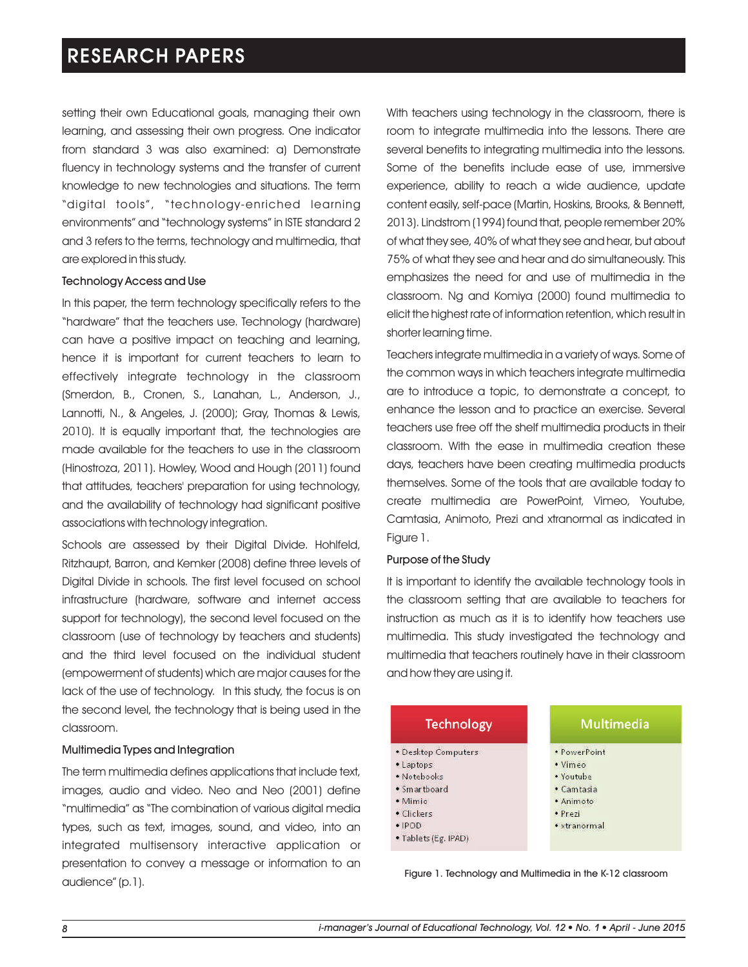setting their own Educational goals, managing their own learning, and assessing their own progress. One indicator from standard 3 was also examined: a) Demonstrate fluency in technology systems and the transfer of current knowledge to new technologies and situations. The term "digital tools", "technology-enriched learning environments" and "technology systems" in ISTE standard 2 and 3 refers to the terms, technology and multimedia, that are explored in this study.

### Technology Access and Use

In this paper, the term technology specifically refers to the "hardware" that the teachers use. Technology (hardware) can have a positive impact on teaching and learning, hence it is important for current teachers to learn to effectively integrate technology in the classroom (Smerdon, B., Cronen, S., Lanahan, L., Anderson, J., Lannotti, N., & Angeles, J. (2000); Gray, Thomas & Lewis, 2010). It is equally important that, the technologies are made available for the teachers to use in the classroom (Hinostroza, 2011). Howley, Wood and Hough (2011) found that attitudes, teachers' preparation for using technology, and the availability of technology had significant positive associations with technology integration.

Schools are assessed by their Digital Divide. Hohlfeld, Ritzhaupt, Barron, and Kemker (2008) define three levels of Digital Divide in schools. The first level focused on school infrastructure (hardware, software and internet access support for technology), the second level focused on the classroom (use of technology by teachers and students) and the third level focused on the individual student (empowerment of students) which are major causes for the lack of the use of technology. In this study, the focus is on the second level, the technology that is being used in the classroom.

### Multimedia Types and Integration

The term multimedia defines applications that include text, images, audio and video. Neo and Neo (2001) define "multimedia" as "The combination of various digital media types, such as text, images, sound, and video, into an integrated multisensory interactive application or presentation to convey a message or information to an audience" (p.1).

With teachers using technology in the classroom, there is room to integrate multimedia into the lessons. There are several benefits to integrating multimedia into the lessons. Some of the benefits include ease of use, immersive experience, ability to reach a wide audience, update content easily, self-pace (Martin, Hoskins, Brooks, & Bennett, 2013). Lindstrom (1994) found that, people remember 20% of what they see, 40% of what they see and hear, but about 75% of what they see and hear and do simultaneously. This emphasizes the need for and use of multimedia in the classroom. Ng and Komiya (2000) found multimedia to elicit the highest rate of information retention, which result in shorter learning time.

Teachers integrate multimedia in a variety of ways. Some of the common ways in which teachers integrate multimedia are to introduce a topic, to demonstrate a concept, to enhance the lesson and to practice an exercise. Several teachers use free off the shelf multimedia products in their classroom. With the ease in multimedia creation these days, teachers have been creating multimedia products themselves. Some of the tools that are available today to create multimedia are PowerPoint, Vimeo, Youtube, Camtasia, Animoto, Prezi and xtranormal as indicated in Figure 1.

### Purpose of the Study

It is important to identify the available technology tools in the classroom setting that are available to teachers for instruction as much as it is to identify how teachers use multimedia. This study investigated the technology and multimedia that teachers routinely have in their classroom and how they are using it.

| <b>Technology</b>    | Multimedia   |
|----------------------|--------------|
| · Desktop Computers  | · PowerPoint |
| • Laptops            | · Vimeo      |
| · Notebooks          | • Youtube    |
| · Smartboard         | • Camtasia   |
| • Mimio              | • Animoto    |
| · Clickers           | • Prezi      |
| $\cdot$ IPOD         | • xtranormal |
| · Tablets (Eg. IPAD) |              |

Figure 1. Technology and Multimedia in the K-12 classroom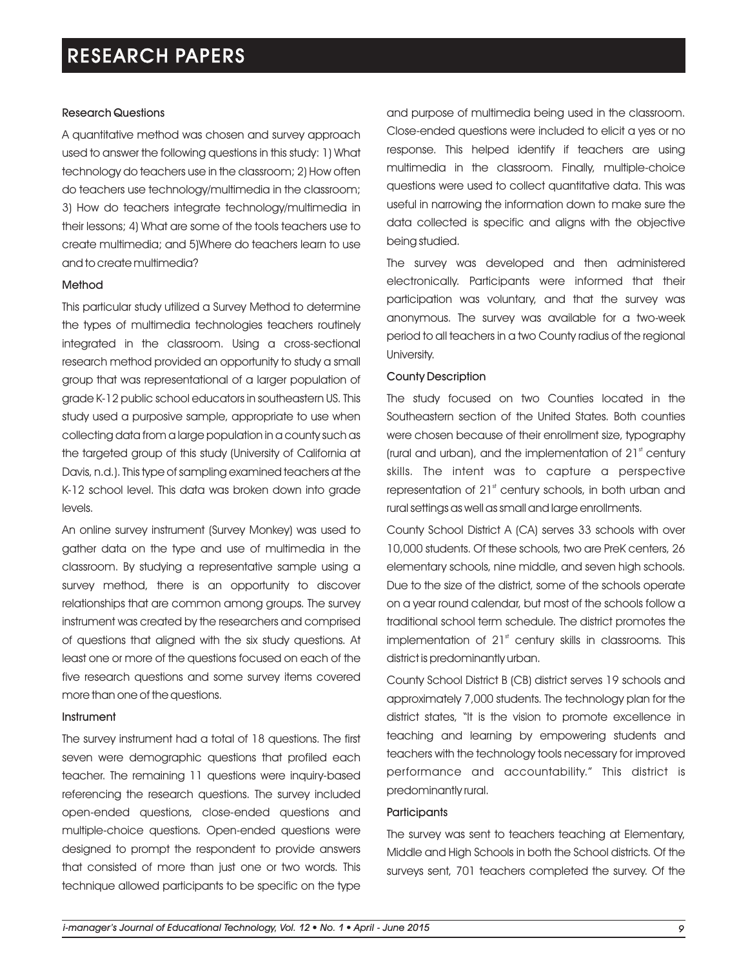### Research Questions

A quantitative method was chosen and survey approach used to answer the following questions in this study: 1) What technology do teachers use in the classroom; 2) How often do teachers use technology/multimedia in the classroom; 3) How do teachers integrate technology/multimedia in their lessons; 4) What are some of the tools teachers use to create multimedia; and 5)Where do teachers learn to use and to create multimedia?

### Method

This particular study utilized a Survey Method to determine the types of multimedia technologies teachers routinely integrated in the classroom. Using a cross-sectional research method provided an opportunity to study a small group that was representational of a larger population of grade K-12 public school educators in southeastern US. This study used a purposive sample, appropriate to use when collecting data from a large population in a county such as the targeted group of this study (University of California at Davis, n.d.). This type of sampling examined teachers at the K-12 school level. This data was broken down into grade levels.

An online survey instrument (Survey Monkey) was used to gather data on the type and use of multimedia in the classroom. By studying a representative sample using a survey method, there is an opportunity to discover relationships that are common among groups. The survey instrument was created by the researchers and comprised of questions that aligned with the six study questions. At least one or more of the questions focused on each of the five research questions and some survey items covered more than one of the questions.

### Instrument

The survey instrument had a total of 18 questions. The first seven were demographic questions that profiled each teacher. The remaining 11 questions were inquiry-based referencing the research questions. The survey included open-ended questions, close-ended questions and multiple-choice questions. Open-ended questions were designed to prompt the respondent to provide answers that consisted of more than just one or two words. This technique allowed participants to be specific on the type and purpose of multimedia being used in the classroom. Close-ended questions were included to elicit a yes or no response. This helped identify if teachers are using multimedia in the classroom. Finally, multiple-choice questions were used to collect quantitative data. This was useful in narrowing the information down to make sure the data collected is specific and aligns with the objective being studied.

The survey was developed and then administered electronically. Participants were informed that their participation was voluntary, and that the survey was anonymous. The survey was available for a two-week period to all teachers in a two County radius of the regional University.

### County Description

The study focused on two Counties located in the Southeastern section of the United States. Both counties were chosen because of their enrollment size, typography (rural and urban), and the implementation of  $21<sup>st</sup>$  century skills. The intent was to capture a perspective representation of  $21<sup>st</sup>$  century schools, in both urban and rural settings as well as small and large enrollments.

County School District A (CA) serves 33 schools with over 10,000 students. Of these schools, two are PreK centers, 26 elementary schools, nine middle, and seven high schools. Due to the size of the district, some of the schools operate on a year round calendar, but most of the schools follow a traditional school term schedule. The district promotes the implementation of  $21<sup>st</sup>$  century skills in classrooms. This district is predominantly urban.

County School District B (CB) district serves 19 schools and approximately 7,000 students. The technology plan for the district states, "It is the vision to promote excellence in teaching and learning by empowering students and teachers with the technology tools necessary for improved performance and accountability." This district is predominantly rural.

### **Participants**

The survey was sent to teachers teaching at Elementary, Middle and High Schools in both the School districts. Of the surveys sent, 701 teachers completed the survey. Of the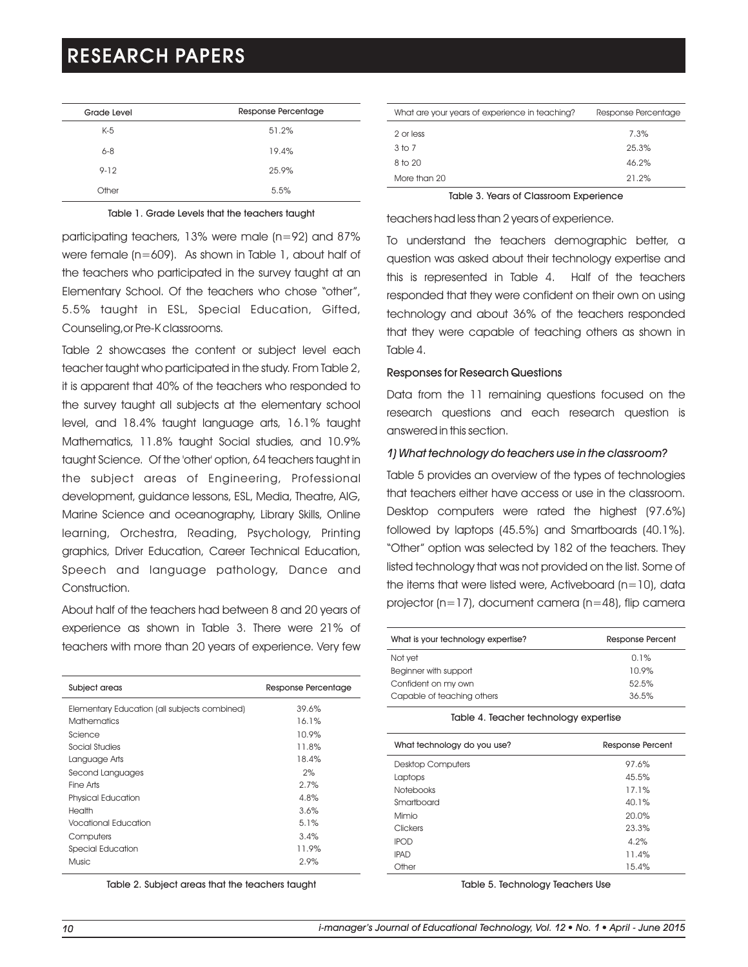| Grade Level | Response Percentage |
|-------------|---------------------|
| $K-5$       | 51.2%               |
| $6 - 8$     | 19.4%               |
| $9 - 12$    | 25.9%               |
| Other       | 5.5%                |

### Table 1. Grade Levels that the teachers taught

participating teachers, 13% were male (n=92) and 87% were female (n=609). As shown in Table 1, about half of the teachers who participated in the survey taught at an Elementary School. Of the teachers who chose "other", 5.5% taught in ESL, Special Education, Gifted, Counseling,or Pre-K classrooms.

Table 2 showcases the content or subject level each teacher taught who participated in the study. From Table 2, it is apparent that 40% of the teachers who responded to the survey taught all subjects at the elementary school level, and 18.4% taught language arts, 16.1% taught Mathematics, 11.8% taught Social studies, and 10.9% taught Science. Of the 'other' option, 64 teachers taught in the subject areas of Engineering, Professional development, guidance lessons, ESL, Media, Theatre, AIG, Marine Science and oceanography, Library Skills, Online learning, Orchestra, Reading, Psychology, Printing graphics, Driver Education, Career Technical Education, Speech and language pathology, Dance and Construction.

About half of the teachers had between 8 and 20 years of experience as shown in Table 3. There were 21% of teachers with more than 20 years of experience. Very few

| Subject areas                                | Response Percentage |
|----------------------------------------------|---------------------|
| Elementary Education (all subjects combined) | 39.6%               |
| <b>Mathematics</b>                           | 16.1%               |
| Science                                      | 10.9%               |
| Social Studies                               | 11.8%               |
| Language Arts                                | 18.4%               |
| Second Languages                             | 2%                  |
| Fine Arts                                    | 2.7%                |
| <b>Physical Education</b>                    | 4.8%                |
| Health                                       | 3.6%                |
| Vocational Education                         | 5.1%                |
| Computers                                    | 3.4%                |
| Special Education                            | 11.9%               |
| Music                                        | 2.9%                |

Table 2. Subject areas that the teachers taught

| What are your years of experience in teaching? | Response Percentage |
|------------------------------------------------|---------------------|
| 2 or less                                      | 7.3%                |
| 3 <sub>to</sub> 7                              | 25.3%               |
| 8 to 20                                        | 46.2%               |
| More than 20                                   | 21.2%               |

Table 3. Years of Classroom Experience

teachers had less than 2 years of experience.

To understand the teachers demographic better, a question was asked about their technology expertise and this is represented in Table 4. Half of the teachers responded that they were confident on their own on using technology and about 36% of the teachers responded that they were capable of teaching others as shown in Table 4.

#### Responses for Research Questions

Data from the 11 remaining questions focused on the research questions and each research question is answered in this section.

### *1) What technology do teachers use in the classroom?*

Table 5 provides an overview of the types of technologies that teachers either have access or use in the classroom. Desktop computers were rated the highest (97.6%) followed by laptops (45.5%) and Smartboards (40.1%). "Other" option was selected by 182 of the teachers. They listed technology that was not provided on the list. Some of the items that were listed were, Activeboard ( $n=10$ ), data projector (n=17), document camera (n=48), flip camera

| What is your technology expertise? | Response Percent |
|------------------------------------|------------------|
| Not yet                            | 0.1%             |
| Beginner with support              | 10.9%            |
| Confident on my own                | 52.5%            |
| Capable of teaching others         | 36.5%            |

#### Table 4. Teacher technology expertise

| What technology do you use? | Response Percent |
|-----------------------------|------------------|
| <b>Desktop Computers</b>    | 97.6%            |
| Laptops                     | 45.5%            |
| <b>Notebooks</b>            | 17.1%            |
| Smartboard                  | 40.1%            |
| Mimio                       | 20.0%            |
| <b>Clickers</b>             | 23.3%            |
| <b>IPOD</b>                 | 4.2%             |
| <b>IPAD</b>                 | 11.4%            |
| Other                       | 15.4%            |

Table 5. Technology Teachers Use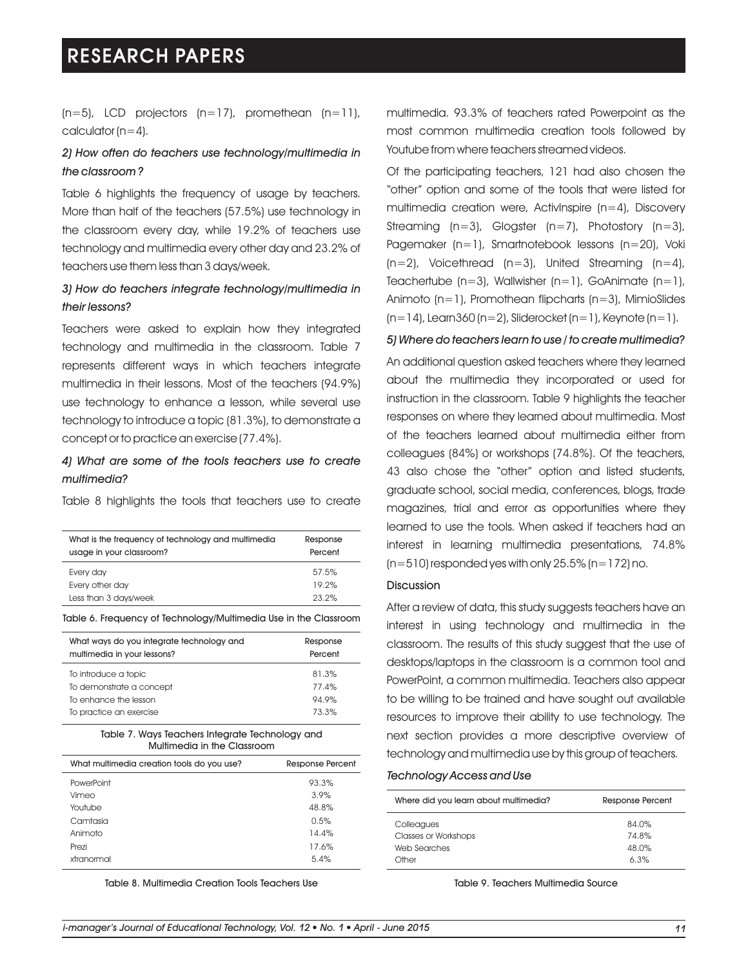$(n=5)$ , LCD projectors  $(n=17)$ , promethean  $(n=11)$ , calculator  $(n=4)$ .

# *2) How often do teachers use technology/multimedia in the classroom ?*

Table 6 highlights the frequency of usage by teachers. More than half of the teachers (57.5%) use technology in the classroom every day, while 19.2% of teachers use technology and multimedia every other day and 23.2% of teachers use them less than 3 days/week.

# *3) How do teachers integrate technology/multimedia in their lessons?*

Teachers were asked to explain how they integrated technology and multimedia in the classroom. Table 7 represents different ways in which teachers integrate multimedia in their lessons. Most of the teachers (94.9%) use technology to enhance a lesson, while several use technology to introduce a topic (81.3%), to demonstrate a concept or to practice an exercise (77.4%).

# *4) What are some of the tools teachers use to create multimedia?*

Table 8 highlights the tools that teachers use to create

| What is the frequency of technology and multimedia<br>usage in your classroom? | Response<br>Percent |
|--------------------------------------------------------------------------------|---------------------|
| Every day                                                                      | 57.5%               |
| Every other day                                                                | 19.2%               |
| Less than 3 days/week                                                          | 23.2%               |
|                                                                                |                     |

Table 6. Frequency of Technology/Multimedia Use in the Classroom

| What ways do you integrate technology and<br>multimedia in your lessons? | Response<br>Percent |
|--------------------------------------------------------------------------|---------------------|
| To introduce a topic                                                     | 81.3%               |
| To demonstrate a concept                                                 | 77.4%               |
| To enhance the lesson                                                    | 94.9%               |
| To practice an exercise                                                  | 73.3%               |

#### Table 7. Ways Teachers Integrate Technology and Multimedia in the Classroom

| What multimedia creation tools do you use? | <b>Response Percent</b> |
|--------------------------------------------|-------------------------|
| PowerPoint                                 | 93.3%                   |
| Vimeo                                      | 3.9%                    |
| Youtube                                    | 48.8%                   |
| Camtasia                                   | 0.5%                    |
| Animoto                                    | 14.4%                   |
| Prezi                                      | 17.6%                   |
| xtranormal                                 | 5.4%                    |

Table 8. Multimedia Creation Tools Teachers Use

multimedia. 93.3% of teachers rated Powerpoint as the most common multimedia creation tools followed by Youtube from where teachers streamed videos.

Of the participating teachers, 121 had also chosen the "other" option and some of the tools that were listed for multimedia creation were, ActivInspire (n=4), Discovery Streaming  $(n=3)$ , Glogster  $(n=7)$ , Photostory  $(n=3)$ , Pagemaker (n=1), Smartnotebook lessons (n=20), Voki  $(n=2)$ , Voicethread  $(n=3)$ , United Streaming  $(n=4)$ , Teachertube  $(n=3)$ , Wallwisher  $(n=1)$ , GoAnimate  $(n=1)$ , Animoto (n=1), Promothean flipcharts (n=3), MimioSlides  $(n=14)$ , Learn360 (n=2), Sliderocket (n=1), Keynote (n=1).

#### *5) Where do teachers learn to use / to create multimedia?*

An additional question asked teachers where they learned about the multimedia they incorporated or used for instruction in the classroom. Table 9 highlights the teacher responses on where they learned about multimedia. Most of the teachers learned about multimedia either from colleagues (84%) or workshops (74.8%). Of the teachers, 43 also chose the "other" option and listed students, graduate school, social media, conferences, blogs, trade magazines, trial and error as opportunities where they learned to use the tools. When asked if teachers had an interest in learning multimedia presentations, 74.8%  $(n=510)$  responded yes with only 25.5%  $(n=172)$  no.

### Discussion

After a review of data, this study suggests teachers have an interest in using technology and multimedia in the classroom. The results of this study suggest that the use of desktops/laptops in the classroom is a common tool and PowerPoint, a common multimedia. Teachers also appear to be willing to be trained and have sought out available resources to improve their ability to use technology. The next section provides a more descriptive overview of technology and multimedia use by this group of teachers.

#### *Technology Access and Use*

| Where did you learn about multimedia? | Response Percent |
|---------------------------------------|------------------|
| Colleagues                            | 84.0%            |
| Classes or Workshops                  | 74.8%            |
| Web Searches                          | 48.0%            |
| Other                                 | 6.3%             |

Table 9. Teachers Multimedia Source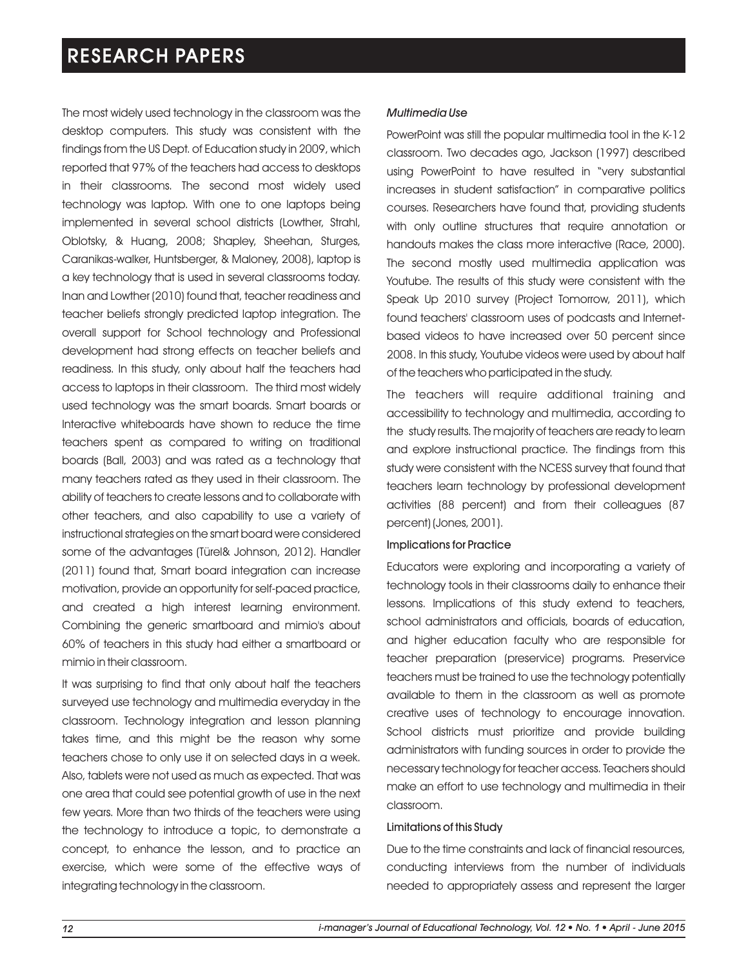The most widely used technology in the classroom was the desktop computers. This study was consistent with the findings from the US Dept. of Education study in 2009, which reported that 97% of the teachers had access to desktops in their classrooms. The second most widely used technology was laptop. With one to one laptops being implemented in several school districts (Lowther, Strahl, Oblotsky, & Huang, 2008; Shapley, Sheehan, Sturges, Caranikas-walker, Huntsberger, & Maloney, 2008), laptop is a key technology that is used in several classrooms today. Inan and Lowther (2010) found that, teacher readiness and teacher beliefs strongly predicted laptop integration. The overall support for School technology and Professional development had strong effects on teacher beliefs and readiness. In this study, only about half the teachers had access to laptops in their classroom. The third most widely used technology was the smart boards. Smart boards or Interactive whiteboards have shown to reduce the time teachers spent as compared to writing on traditional boards (Ball, 2003) and was rated as a technology that many teachers rated as they used in their classroom. The ability of teachers to create lessons and to collaborate with other teachers, and also capability to use a variety of instructional strategies on the smart board were considered some of the advantages (Türel& Johnson, 2012). Handler (2011) found that, Smart board integration can increase motivation, provide an opportunity for self-paced practice, and created a high interest learning environment. Combining the generic smartboard and mimio's about 60% of teachers in this study had either a smartboard or mimio in their classroom.

It was surprising to find that only about half the teachers surveyed use technology and multimedia everyday in the classroom. Technology integration and lesson planning takes time, and this might be the reason why some teachers chose to only use it on selected days in a week. Also, tablets were not used as much as expected. That was one area that could see potential growth of use in the next few years. More than two thirds of the teachers were using the technology to introduce a topic, to demonstrate a concept, to enhance the lesson, and to practice an exercise, which were some of the effective ways of integrating technology in the classroom.

### *Multimedia Use*

PowerPoint was still the popular multimedia tool in the K-12 classroom. Two decades ago, Jackson (1997) described using PowerPoint to have resulted in "very substantial increases in student satisfaction" in comparative politics courses. Researchers have found that, providing students with only outline structures that require annotation or handouts makes the class more interactive (Race, 2000). The second mostly used multimedia application was Youtube. The results of this study were consistent with the Speak Up 2010 survey (Project Tomorrow, 2011), which found teachers' classroom uses of podcasts and Internetbased videos to have increased over 50 percent since 2008. In this study, Youtube videos were used by about half of the teachers who participated in the study.

The teachers will require additional training and accessibility to technology and multimedia, according to the study results. The majority of teachers are ready to learn and explore instructional practice. The findings from this study were consistent with the NCESS survey that found that teachers learn technology by professional development activities (88 percent) and from their colleagues (87 percent) (Jones, 2001).

### Implications for Practice

Educators were exploring and incorporating a variety of technology tools in their classrooms daily to enhance their lessons. Implications of this study extend to teachers, school administrators and officials, boards of education, and higher education faculty who are responsible for teacher preparation (preservice) programs. Preservice teachers must be trained to use the technology potentially available to them in the classroom as well as promote creative uses of technology to encourage innovation. School districts must prioritize and provide building administrators with funding sources in order to provide the necessary technology for teacher access. Teachers should make an effort to use technology and multimedia in their classroom.

### Limitations of this Study

Due to the time constraints and lack of financial resources, conducting interviews from the number of individuals needed to appropriately assess and represent the larger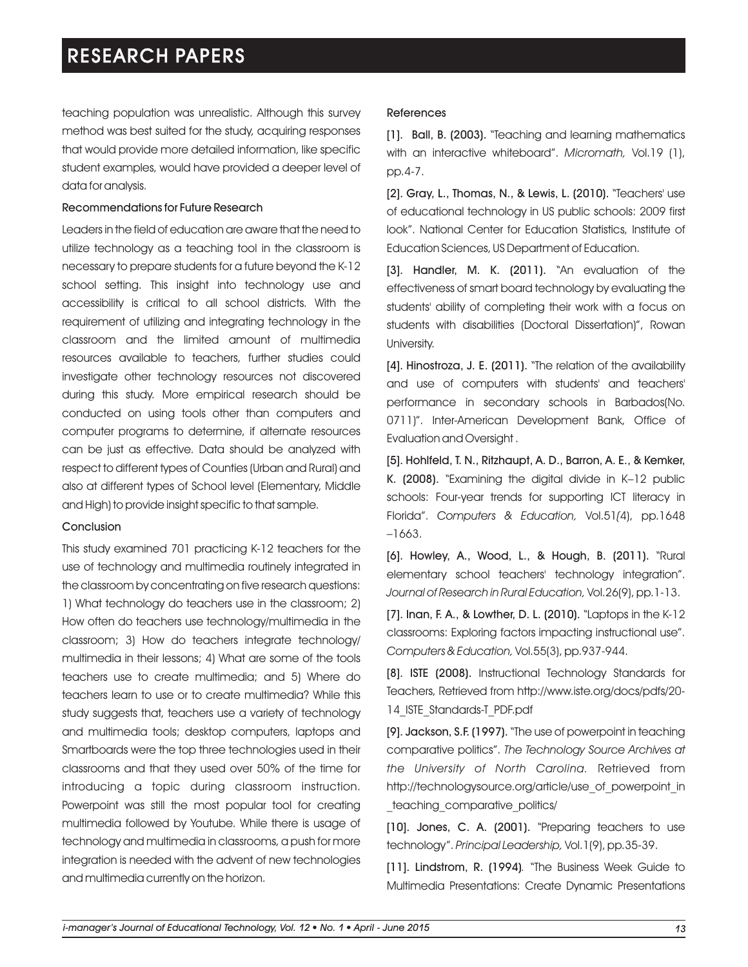teaching population was unrealistic. Although this survey method was best suited for the study, acquiring responses that would provide more detailed information, like specific student examples, would have provided a deeper level of data for analysis.

### Recommendations for Future Research

Leaders in the field of education are aware that the need to utilize technology as a teaching tool in the classroom is necessary to prepare students for a future beyond the K-12 school setting. This insight into technology use and accessibility is critical to all school districts. With the requirement of utilizing and integrating technology in the classroom and the limited amount of multimedia resources available to teachers, further studies could investigate other technology resources not discovered during this study. More empirical research should be conducted on using tools other than computers and computer programs to determine, if alternate resources can be just as effective. Data should be analyzed with respect to different types of Counties (Urban and Rural) and also at different types of School level (Elementary, Middle and High) to provide insight specific to that sample.

### Conclusion

This study examined 701 practicing K-12 teachers for the use of technology and multimedia routinely integrated in the classroom by concentrating on five research questions: 1) What technology do teachers use in the classroom; 2) How often do teachers use technology/multimedia in the classroom; 3) How do teachers integrate technology/ multimedia in their lessons; 4) What are some of the tools teachers use to create multimedia; and 5) Where do teachers learn to use or to create multimedia? While this study suggests that, teachers use a variety of technology and multimedia tools; desktop computers, laptops and Smartboards were the top three technologies used in their classrooms and that they used over 50% of the time for introducing a topic during classroom instruction. Powerpoint was still the most popular tool for creating multimedia followed by Youtube. While there is usage of technology and multimedia in classrooms, a push for more integration is needed with the advent of new technologies and multimedia currently on the horizon.

### References

[1]. Ball, B. (2003). "Teaching and learning mathematics with an interactive whiteboard". *Micromath,* Vol.19 (1), pp.4-7.

[2]. Gray, L., Thomas, N., & Lewis, L. (2010). "Teachers' use of educational technology in US public schools: 2009 first look". National Center for Education Statistics, Institute of Education Sciences, US Department of Education.

 $[3]$ . Handler, M. K.  $(2011)$ . "An evaluation of the effectiveness of smart board technology by evaluating the students' ability of completing their work with a focus on students with disabilities (Doctoral Dissertation)", Rowan University.

[4]. Hinostroza, J. E. (2011). "The relation of the availability and use of computers with students' and teachers' performance in secondary schools in Barbados(No. 0711)". Inter-American Development Bank, Office of Evaluation and Oversight .

[5]. Hohlfeld, T. N., Ritzhaupt, A. D., Barron, A. E., & Kemker, K. (2008). "Examining the digital divide in K–12 public schools: Four-year trends for supporting ICT literacy in Florida". *Computers & Education,* Vol.51*(*4), pp.1648 –1663.

[6]. Howley, A., Wood, L., & Hough, B. (2011). "Rural elementary school teachers' technology integration". *Journal of Research in Rural Education,* Vol.26(9), pp.1-13.

[7]. Inan, F. A., & Lowther, D. L. (2010). "Laptops in the K-12 classrooms: Exploring factors impacting instructional use". *Computers & Education,* Vol.55(3), pp.937-944.

[8]. ISTE (2008). Instructional Technology Standards for Teachers, Retrieved from http://www.iste.org/docs/pdfs/20- 14\_ISTE\_Standards-T\_PDF.pdf

[9]. Jackson, S.F. (1997). "The use of powerpoint in teaching comparative politics". *The Technology Source Archives at the University of North Carolina.* Retrieved from http://technologysource.org/article/use\_of\_powerpoint\_in \_teaching\_comparative\_politics/

[10]. Jones, C. A. (2001). "Preparing teachers to use technology". *Principal Leadership,* Vol.1(9), pp.35-39.

[11]. Lindstrom, R. (1994)*.* The Business Week Guide to " Multimedia Presentations: Create Dynamic Presentations